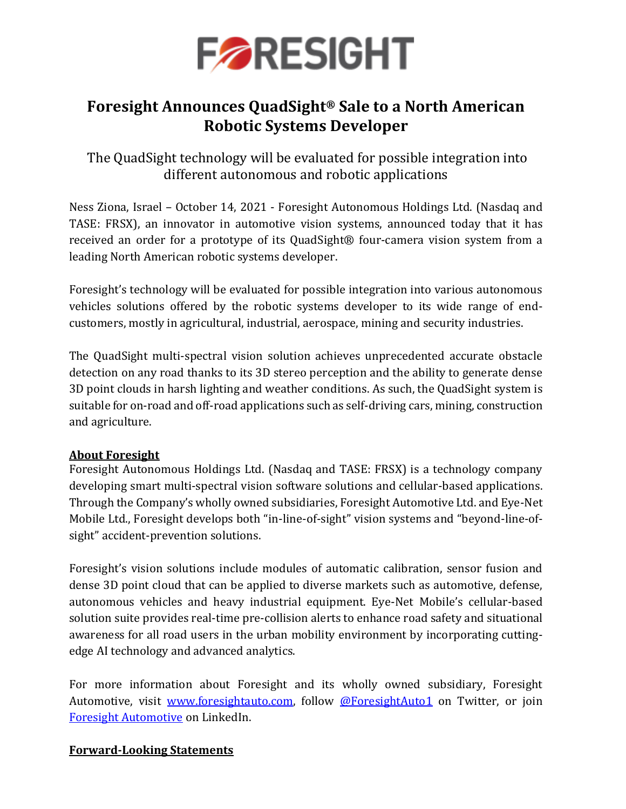

## **Foresight Announces QuadSight® Sale to a North American Robotic Systems Developer**

The QuadSight technology will be evaluated for possible integration into different autonomous and robotic applications

Ness Ziona, Israel – October 14, 2021 - Foresight Autonomous Holdings Ltd. (Nasdaq and TASE: FRSX), an innovator in automotive vision systems, announced today that it has received an order for a prototype of its QuadSight® four-camera vision system from a leading North American robotic systems developer.

Foresight's technology will be evaluated for possible integration into various autonomous vehicles solutions offered by the robotic systems developer to its wide range of endcustomers, mostly in agricultural, industrial, aerospace, mining and security industries.

The QuadSight multi-spectral vision solution achieves unprecedented accurate obstacle detection on any road thanks to its 3D stereo perception and the ability to generate dense 3D point clouds in harsh lighting and weather conditions. As such, the QuadSight system is suitable for on-road and off-road applications such as self-driving cars, mining, construction and agriculture.

## **About Foresight**

Foresight Autonomous Holdings Ltd. (Nasdaq and TASE: FRSX) is a technology company developing smart multi-spectral vision software solutions and cellular-based applications. Through the Company's wholly owned subsidiaries, Foresight Automotive Ltd. and Eye-Net Mobile Ltd., Foresight develops both "in-line-of-sight" vision systems and "beyond-line-ofsight" accident-prevention solutions.

Foresight's vision solutions include modules of automatic calibration, sensor fusion and dense 3D point cloud that can be applied to diverse markets such as automotive, defense, autonomous vehicles and heavy industrial equipment. Eye-Net Mobile's cellular-based solution suite provides real-time pre-collision alerts to enhance road safety and situational awareness for all road users in the urban mobility environment by incorporating cuttingedge AI technology and advanced analytics.

For more information about Foresight and its wholly owned subsidiary, Foresight Automotive, visit [www.foresightauto.com,](about:blank) follow [@ForesightAuto1](https://twitter.com/ForesightAuto1) on Twitter, or join [Foresight Automotive](https://www.linkedin.com/company/foresight-automotive/) on LinkedIn.

### **Forward-Looking Statements**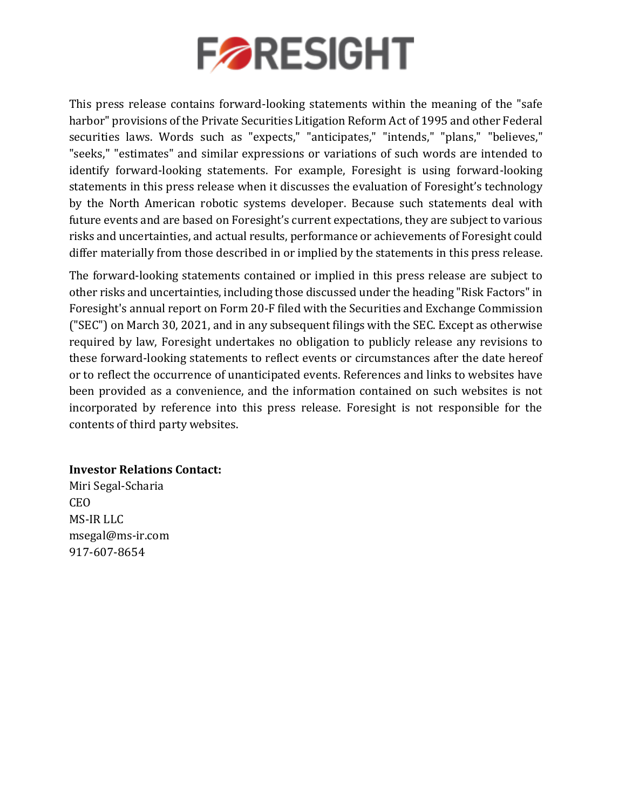

This press release contains forward-looking statements within the meaning of the "safe harbor" provisions of the Private Securities Litigation Reform Act of 1995 and other Federal securities laws. Words such as "expects," "anticipates," "intends," "plans," "believes," "seeks," "estimates" and similar expressions or variations of such words are intended to identify forward-looking statements. For example, Foresight is using forward-looking statements in this press release when it discusses the evaluation of Foresight's technology by the North American robotic systems developer. Because such statements deal with future events and are based on Foresight's current expectations, they are subject to various risks and uncertainties, and actual results, performance or achievements of Foresight could differ materially from those described in or implied by the statements in this press release.

The forward-looking statements contained or implied in this press release are subject to other risks and uncertainties, including those discussed under the heading "Risk Factors" in Foresight's annual report on Form 20-F filed with the Securities and Exchange Commission ("SEC") on March 30, 2021, and in any subsequent filings with the SEC. Except as otherwise required by law, Foresight undertakes no obligation to publicly release any revisions to these forward-looking statements to reflect events or circumstances after the date hereof or to reflect the occurrence of unanticipated events. References and links to websites have been provided as a convenience, and the information contained on such websites is not incorporated by reference into this press release. Foresight is not responsible for the contents of third party websites.

### **Investor Relations Contact:**

Miri Segal-Scharia CEO MS-IR LLC [msegal@ms-ir.com](mailto:msegal@ms-ir.com) 917-607-8654